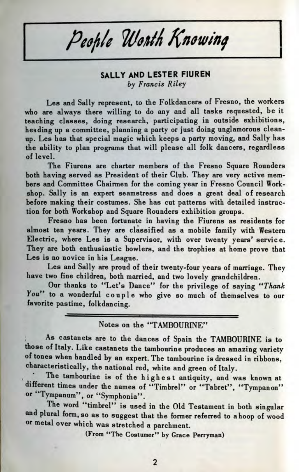People Worth Knowing

## **SALLY AND LESTER FIUREN** *by Francis Riley*

Les and Sally represent, to the Folkdancers of Fresno, the workers who are always there willing to do any and all tasks requested, be it teaching classes, doing research, participating in outside exhibitions, heading up a committee, planning a party or just doing unglamorous cleanup. Les has that special magic which keeps a party moving, and Sally has the ability to plan programs that will please all folk dancers, regardless of level.

The Fiurens are charter members of the Fresno Square Rounders both having served as President of their Club. They are very active members and Committee Chairmen for the coming year in Fresno Council Workshop. Sally is an expert seamstress and does a great deal of research before making their costumes. She has cut patterns with detailed instruction for both Workshop and Square Rounders exhibition groups.

Fresno has been fortunate in having the Fiurens as residents for almost ten years. They are classified as a mobile family with Western Electric, where Les is a Supervisor, with over twenty years' service. They are both enthusiastic bowlers, and the trophies at home prove that Les is no novice in his League.

Les and Sally are proud of their twenty-four years of marriage. They have two fine children, both married, and two lovely grandchildren.

Our thanks to "Let's Dance" for the privilege of saying *"Thank* You" to a wonderful couple who give so much of themselves to our favorite pastime, folkdancing.

## Notes on the "TAMBOURINE"

As castanets are to the dances of Spain the TAMBOURINE is to those of Italy. Like castanets the tambourine produces an amazing variety of tones when handled by an expert. The tambourine is dressed in ribbons, characteristically, the national red, white and green of Italy.

The tambourine is of the highest antiquity, and was known at different times under the names of "Timbrel" or "Tabret", "Tympanon" or "Tympanum", or "Symphonia".

The word "timbrel" is used in the Old Testament in both singular and plural form, so as to suggest that the former referred to ahoop of wood or metal over which was stretched a parchment.

(From "The Costumer" by Grace Perryman)